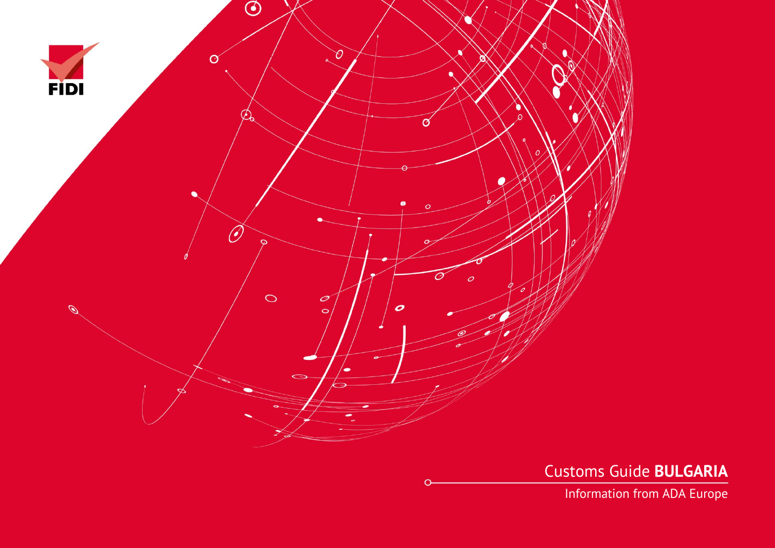

Customs Guide **BULGARIA**

Information from ADA Europe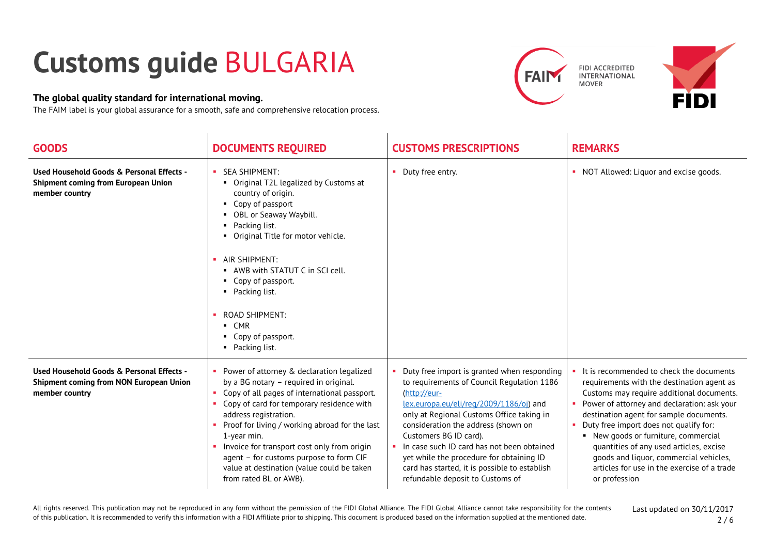## **Customs guide** BULGARIA

## **The global quality standard for international moving.**

The FAIM label is your global assurance for a smooth, safe and comprehensive relocation process.



| <b>GOODS</b>                                                                                           | <b>DOCUMENTS REQUIRED</b>                                                                                                                                                                                                                                                                                                                                                                                                                          | <b>CUSTOMS PRESCRIPTIONS</b>                                                                                                                                                                                                                                                                                                                                                                                                                      | <b>REMARKS</b>                                                                                                                                                                                                                                                                                                                                                                                                                                                                       |
|--------------------------------------------------------------------------------------------------------|----------------------------------------------------------------------------------------------------------------------------------------------------------------------------------------------------------------------------------------------------------------------------------------------------------------------------------------------------------------------------------------------------------------------------------------------------|---------------------------------------------------------------------------------------------------------------------------------------------------------------------------------------------------------------------------------------------------------------------------------------------------------------------------------------------------------------------------------------------------------------------------------------------------|--------------------------------------------------------------------------------------------------------------------------------------------------------------------------------------------------------------------------------------------------------------------------------------------------------------------------------------------------------------------------------------------------------------------------------------------------------------------------------------|
| Used Household Goods & Personal Effects -<br>Shipment coming from European Union<br>member country     | <b>SEA SHIPMENT:</b><br>• Original T2L legalized by Customs at<br>country of origin.<br>• Copy of passport<br>• OBL or Seaway Waybill.<br>• Packing list.<br>• Original Title for motor vehicle.<br>· AIR SHIPMENT:<br>• AWB with STATUT C in SCI cell.<br>• Copy of passport.<br>• Packing list.<br><b>ROAD SHIPMENT:</b><br>$\blacksquare$ CMR<br>• Copy of passport.<br>• Packing list.                                                         | Duty free entry.                                                                                                                                                                                                                                                                                                                                                                                                                                  | • NOT Allowed: Liquor and excise goods.                                                                                                                                                                                                                                                                                                                                                                                                                                              |
| Used Household Goods & Personal Effects -<br>Shipment coming from NON European Union<br>member country | • Power of attorney & declaration legalized<br>by a BG notary - required in original.<br>Copy of all pages of international passport.<br>Copy of card for temporary residence with<br>address registration.<br>• Proof for living / working abroad for the last<br>1-year min.<br>• Invoice for transport cost only from origin<br>agent - for customs purpose to form CIF<br>value at destination (value could be taken<br>from rated BL or AWB). | Duty free import is granted when responding<br>to requirements of Council Regulation 1186<br>(http://eur-<br>lex.europa.eu/eli/reg/2009/1186/oi) and<br>only at Regional Customs Office taking in<br>consideration the address (shown on<br>Customers BG ID card).<br>In case such ID card has not been obtained<br>yet while the procedure for obtaining ID<br>card has started, it is possible to establish<br>refundable deposit to Customs of | It is recommended to check the documents<br>requirements with the destination agent as<br>Customs may require additional documents.<br>Power of attorney and declaration: ask your<br>destination agent for sample documents.<br>Duty free import does not qualify for:<br>$\mathbf{r}$<br>• New goods or furniture, commercial<br>quantities of any used articles, excise<br>goods and liquor, commercial vehicles,<br>articles for use in the exercise of a trade<br>or profession |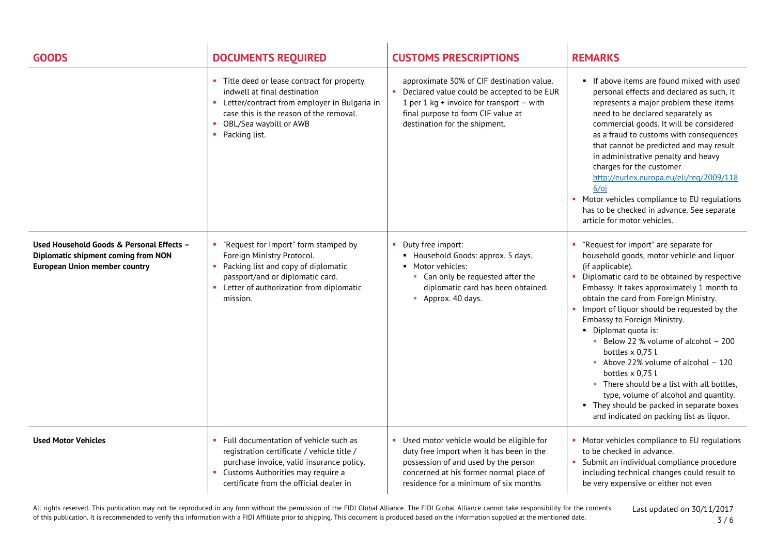| <b>GOODS</b>                                                                                                             | <b>DOCUMENTS REQUIRED</b>                                                                                                                                                                                               | <b>CUSTOMS PRESCRIPTIONS</b>                                                                                                                                                                                     | <b>REMARKS</b>                                                                                                                                                                                                                                                                                                                                                                                                                                                                                                                                                                                                                                                |
|--------------------------------------------------------------------------------------------------------------------------|-------------------------------------------------------------------------------------------------------------------------------------------------------------------------------------------------------------------------|------------------------------------------------------------------------------------------------------------------------------------------------------------------------------------------------------------------|---------------------------------------------------------------------------------------------------------------------------------------------------------------------------------------------------------------------------------------------------------------------------------------------------------------------------------------------------------------------------------------------------------------------------------------------------------------------------------------------------------------------------------------------------------------------------------------------------------------------------------------------------------------|
|                                                                                                                          | • Title deed or lease contract for property<br>indwell at final destination<br>• Letter/contract from employer in Bulgaria in<br>case this is the reason of the removal.<br>• OBL/Sea waybill or AWB<br>• Packing list. | approximate 30% of CIF destination value.<br>Declared value could be accepted to be EUR<br>1 per 1 kg + invoice for transport - with<br>final purpose to form CIF value at<br>destination for the shipment.      | • If above items are found mixed with used<br>personal effects and declared as such, it<br>represents a major problem these items<br>need to be declared separately as<br>commercial goods. It will be considered<br>as a fraud to customs with consequences<br>that cannot be predicted and may result<br>in administrative penalty and heavy<br>charges for the customer<br>http://eurlex.europa.eu/eli/reg/2009/118<br>$6$ / $0$ i<br>Motor vehicles compliance to EU regulations<br>has to be checked in advance. See separate<br>article for motor vehicles.                                                                                             |
| Used Household Goods & Personal Effects -<br>Diplomatic shipment coming from NON<br><b>European Union member country</b> | "Request for Import" form stamped by<br>Foreign Ministry Protocol.<br>Packing list and copy of diplomatic<br>passport/and or diplomatic card.<br>• Letter of authorization from diplomatic<br>mission.                  | Duty free import:<br>• Household Goods: approx. 5 days.<br>• Motor vehicles:<br>■ Can only be requested after the<br>diplomatic card has been obtained.<br>■ Approx. 40 days.                                    | "Request for import" are separate for<br>household goods, motor vehicle and liquor<br>(if applicable).<br>Diplomatic card to be obtained by respective<br>٠<br>Embassy. It takes approximately 1 month to<br>obtain the card from Foreign Ministry.<br>Import of liquor should be requested by the<br>Embassy to Foreign Ministry.<br>• Diplomat quota is:<br>Below 22 % volume of alcohol - 200<br>bottles x 0,75 l<br>Above 22% volume of alcohol - 120<br>bottles x 0,75 l<br>" There should be a list with all bottles,<br>type, volume of alcohol and quantity.<br>• They should be packed in separate boxes<br>and indicated on packing list as liquor. |
| <b>Used Motor Vehicles</b>                                                                                               | Full documentation of vehicle such as<br>registration certificate / vehicle title /<br>purchase invoice, valid insurance policy.<br>• Customs Authorities may require a<br>certificate from the official dealer in      | Used motor vehicle would be eligible for<br>duty free import when it has been in the<br>possession of and used by the person<br>concerned at his former normal place of<br>residence for a minimum of six months | Motor vehicles compliance to EU regulations<br>to be checked in advance.<br>Submit an individual compliance procedure<br>including technical changes could result to<br>be very expensive or either not even                                                                                                                                                                                                                                                                                                                                                                                                                                                  |

All rights reserved. This publication may not be reproduced in any form without the permission of the FIDI Global Alliance. The FIDI Global Alliance cannot take responsibility for the contents of this publication. It is recommended to verify this information with a FIDI Affiliate prior to shipping. This document is produced based on the information supplied at the mentioned date.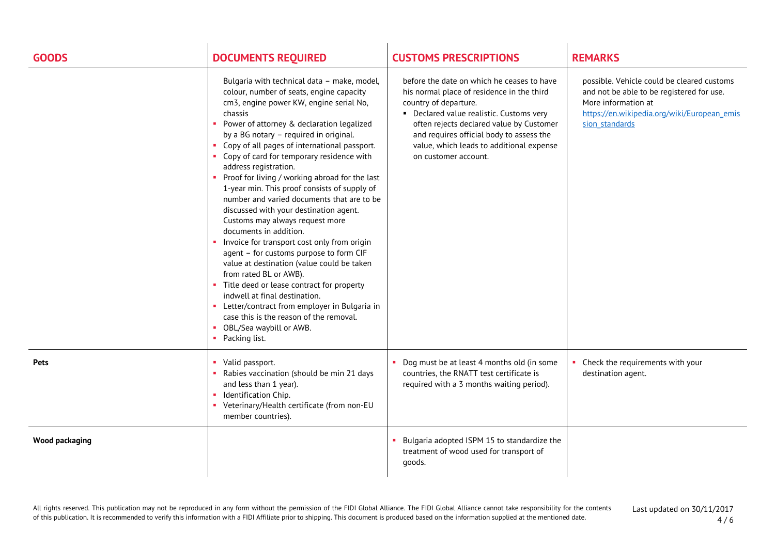| <b>GOODS</b>          | <b>DOCUMENTS REQUIRED</b>                                                                                                                                                                                                                                                                                                                                                                                                                                                                                                                                                                                                                                                                                                                                                                                                                                                                                                                                                                                            | <b>CUSTOMS PRESCRIPTIONS</b>                                                                                                                                                                                                                                                                                              | <b>REMARKS</b>                                                                                                                                                                  |
|-----------------------|----------------------------------------------------------------------------------------------------------------------------------------------------------------------------------------------------------------------------------------------------------------------------------------------------------------------------------------------------------------------------------------------------------------------------------------------------------------------------------------------------------------------------------------------------------------------------------------------------------------------------------------------------------------------------------------------------------------------------------------------------------------------------------------------------------------------------------------------------------------------------------------------------------------------------------------------------------------------------------------------------------------------|---------------------------------------------------------------------------------------------------------------------------------------------------------------------------------------------------------------------------------------------------------------------------------------------------------------------------|---------------------------------------------------------------------------------------------------------------------------------------------------------------------------------|
|                       | Bulgaria with technical data - make, model,<br>colour, number of seats, engine capacity<br>cm3, engine power KW, engine serial No,<br>chassis<br>• Power of attorney & declaration legalized<br>by a BG notary - required in original.<br>Copy of all pages of international passport.<br>• Copy of card for temporary residence with<br>address registration.<br>• Proof for living / working abroad for the last<br>1-year min. This proof consists of supply of<br>number and varied documents that are to be<br>discussed with your destination agent.<br>Customs may always request more<br>documents in addition.<br>• Invoice for transport cost only from origin<br>agent - for customs purpose to form CIF<br>value at destination (value could be taken<br>from rated BL or AWB).<br>• Title deed or lease contract for property<br>indwell at final destination.<br>• Letter/contract from employer in Bulgaria in<br>case this is the reason of the removal.<br>OBL/Sea waybill or AWB.<br>Packing list. | before the date on which he ceases to have<br>his normal place of residence in the third<br>country of departure.<br>• Declared value realistic. Customs very<br>often rejects declared value by Customer<br>and requires official body to assess the<br>value, which leads to additional expense<br>on customer account. | possible. Vehicle could be cleared customs<br>and not be able to be registered for use.<br>More information at<br>https://en.wikipedia.org/wiki/European emis<br>sion standards |
| Pets                  | Valid passport.<br>Rabies vaccination (should be min 21 days<br>and less than 1 year).<br>Identification Chip.<br>• Veterinary/Health certificate (from non-EU<br>member countries).                                                                                                                                                                                                                                                                                                                                                                                                                                                                                                                                                                                                                                                                                                                                                                                                                                 | Dog must be at least 4 months old (in some<br>countries, the RNATT test certificate is<br>required with a 3 months waiting period).                                                                                                                                                                                       | • Check the requirements with your<br>destination agent.                                                                                                                        |
| <b>Wood packaging</b> |                                                                                                                                                                                                                                                                                                                                                                                                                                                                                                                                                                                                                                                                                                                                                                                                                                                                                                                                                                                                                      | Bulgaria adopted ISPM 15 to standardize the<br>treatment of wood used for transport of<br>goods.                                                                                                                                                                                                                          |                                                                                                                                                                                 |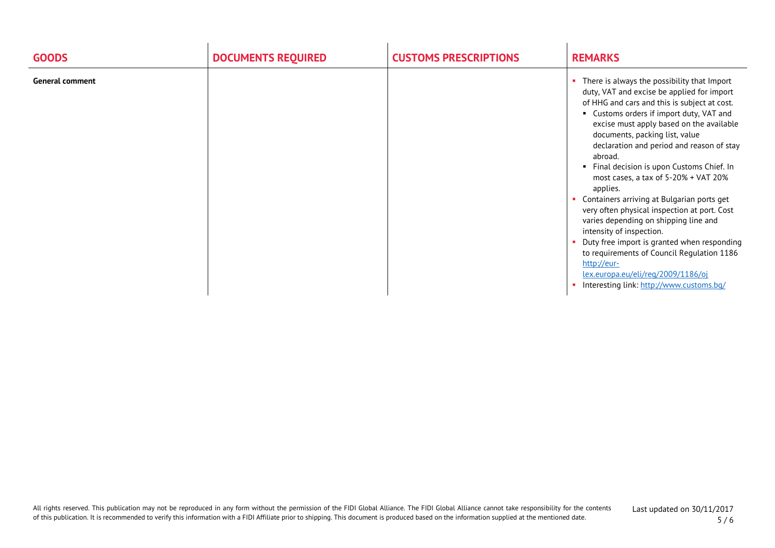| <b>GOODS</b>           | <b>DOCUMENTS REQUIRED</b> | <b>CUSTOMS PRESCRIPTIONS</b> | <b>REMARKS</b>                                                                                                                                                                                                                                                                                                                                                                                                                                                                                                                                                                                                                                                                                                                                                                             |
|------------------------|---------------------------|------------------------------|--------------------------------------------------------------------------------------------------------------------------------------------------------------------------------------------------------------------------------------------------------------------------------------------------------------------------------------------------------------------------------------------------------------------------------------------------------------------------------------------------------------------------------------------------------------------------------------------------------------------------------------------------------------------------------------------------------------------------------------------------------------------------------------------|
| <b>General comment</b> |                           |                              | There is always the possibility that Import<br>duty, VAT and excise be applied for import<br>of HHG and cars and this is subject at cost.<br>Customs orders if import duty, VAT and<br>excise must apply based on the available<br>documents, packing list, value<br>declaration and period and reason of stay<br>abroad.<br>Final decision is upon Customs Chief. In<br>most cases, a tax of 5-20% + VAT 20%<br>applies.<br>Containers arriving at Bulgarian ports get<br>very often physical inspection at port. Cost<br>varies depending on shipping line and<br>intensity of inspection.<br>Duty free import is granted when responding<br>to requirements of Council Regulation 1186<br>http://eur-<br>lex.europa.eu/eli/reg/2009/1186/oj<br>Interesting link: http://www.customs.bq/ |